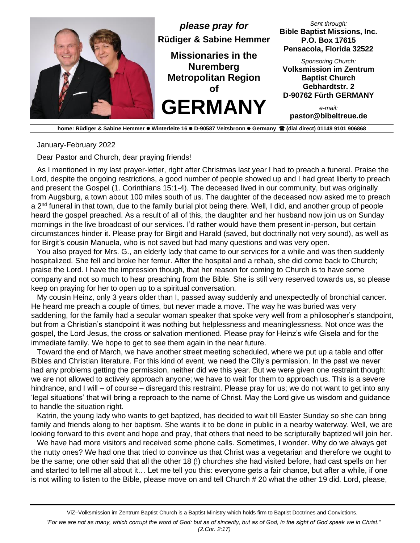

**home: Rüdiger & Sabine Hemmer** ⚫ **Winterleite 16** ⚫ **D-90587 Veitsbronn** ⚫ **Germany (dial direct) 01149 9101 906868**

January-February 2022

Dear Pastor and Church, dear praying friends!

As I mentioned in my last prayer-letter, right after Christmas last year I had to preach a funeral. Praise the Lord, despite the ongoing restrictions, a good number of people showed up and I had great liberty to preach and present the Gospel (1. Corinthians 15:1-4). The deceased lived in our community, but was originally from Augsburg, a town about 100 miles south of us. The daughter of the deceased now asked me to preach a 2<sup>nd</sup> funeral in that town, due to the family burial plot being there. Well, I did, and another group of people heard the gospel preached. As a result of all of this, the daughter and her husband now join us on Sunday mornings in the live broadcast of our services. I'd rather would have them present in-person, but certain circumstances hinder it. Please pray for Birgit and Harald (saved, but doctrinally not very sound), as well as for Birgit's cousin Manuela, who is not saved but had many questions and was very open.

You also prayed for Mrs. G., an elderly lady that came to our services for a while and was then suddenly hospitalized. She fell and broke her femur. After the hospital and a rehab, she did come back to Church; praise the Lord. I have the impression though, that her reason for coming to Church is to have some company and not so much to hear preaching from the Bible. She is still very reserved towards us, so please keep on praying for her to open up to a spiritual conversation.

My cousin Heinz, only 3 years older than I, passed away suddenly and unexpectedly of bronchial cancer. He heard me preach a couple of times, but never made a move. The way he was buried was very saddening, for the family had a secular woman speaker that spoke very well from a philosopher's standpoint, but from a Christian's standpoint it was nothing but helplessness and meaninglessness. Not once was the gospel, the Lord Jesus, the cross or salvation mentioned. Please pray for Heinz's wife Gisela and for the immediate family. We hope to get to see them again in the near future.

Toward the end of March, we have another street meeting scheduled, where we put up a table and offer Bibles and Christian literature. For this kind of event, we need the City's permission. In the past we never had any problems getting the permission, neither did we this year. But we were given one restraint though: we are not allowed to actively approach anyone; we have to wait for them to approach us. This is a severe hindrance, and I will – of course – disregard this restraint. Please pray for us; we do not want to get into any 'legal situations' that will bring a reproach to the name of Christ. May the Lord give us wisdom and guidance to handle the situation right.

Katrin, the young lady who wants to get baptized, has decided to wait till Easter Sunday so she can bring family and friends along to her baptism. She wants it to be done in public in a nearby waterway. Well, we are looking forward to this event and hope and pray, that others that need to be scripturally baptized will join her.

We have had more visitors and received some phone calls. Sometimes, I wonder. Why do we always get the nutty ones? We had one that tried to convince us that Christ was a vegetarian and therefore we ought to be the same; one other said that all the other 18 (!) churches she had visited before, had cast spells on her and started to tell me all about it… Let me tell you this: everyone gets a fair chance, but after a while, if one is not willing to listen to the Bible, please move on and tell Church # 20 what the other 19 did. Lord, please,

*"For we are not as many, which corrupt the word of God: but as of sincerity, but as of God, in the sight of God speak we in Christ." (2.Cor. 2:17)*

ViZ–Volksmission im Zentrum Baptist Church is a Baptist Ministry which holds firm to Baptist Doctrines and Convictions.